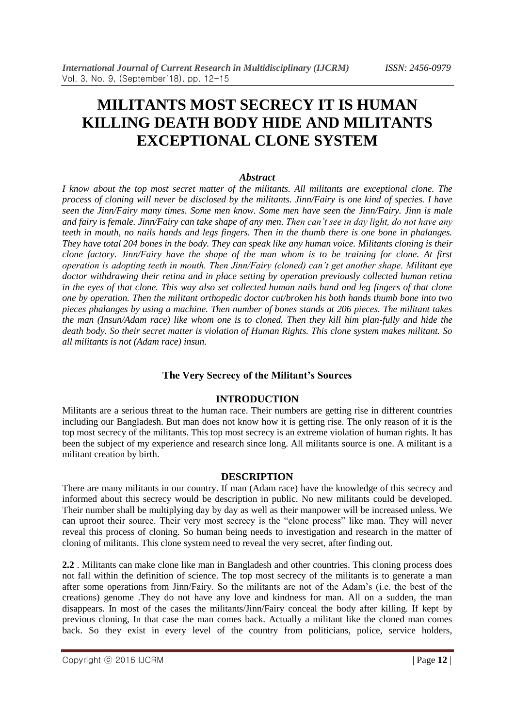# **MILITANTS MOST SECRECY IT IS HUMAN KILLING DEATH BODY HIDE AND MILITANTS EXCEPTIONAL CLONE SYSTEM**

#### *Abstract*

*I know about the top most secret matter of the militants. All militants are exceptional clone. The process of cloning will never be disclosed by the militants. Jinn/Fairy is one kind of species. I have seen the Jinn/Fairy many times. Some men know. Some men have seen the Jinn/Fairy. Jinn is male and fairy is female. Jinn/Fairy can take shape of any men. Then can't see in day light, do not have any teeth in mouth, no nails hands and legs fingers. Then in the thumb there is one bone in phalanges. They have total 204 bones in the body. They can speak like any human voice. Militants cloning is their clone factory. Jinn/Fairy have the shape of the man whom is to be training for clone. At first operation is adopting teeth in mouth. Then Jinn/Fairy (cloned) can't get another shape. Militant eye doctor withdrawing their retina and in place setting by operation previously collected human retina in the eyes of that clone. This way also set collected human nails hand and leg fingers of that clone one by operation. Then the militant orthopedic doctor cut/broken his both hands thumb bone into two pieces phalanges by using a machine. Then number of bones stands at 206 pieces. The militant takes the man (Insun/Adam race) like whom one is to cloned. Then they kill him plan-fully and hide the death body. So their secret matter is violation of Human Rights. This clone system makes militant. So all militants is not (Adam race) insun.* 

## **The Very Secrecy of the Militant's Sources**

# **INTRODUCTION**

Militants are a serious threat to the human race. Their numbers are getting rise in different countries including our Bangladesh. But man does not know how it is getting rise. The only reason of it is the top most secrecy of the militants. This top most secrecy is an extreme violation of human rights. It has been the subject of my experience and research since long. All militants source is one. A militant is a militant creation by birth.

#### **DESCRIPTION**

There are many militants in our country. If man (Adam race) have the knowledge of this secrecy and informed about this secrecy would be description in public. No new militants could be developed. Their number shall be multiplying day by day as well as their manpower will be increased unless. We can uproot their source. Their very most secrecy is the "clone process" like man. They will never reveal this process of cloning. So human being needs to investigation and research in the matter of cloning of militants. This clone system need to reveal the very secret, after finding out.

**2.2** . Militants can make clone like man in Bangladesh and other countries. This cloning process does not fall within the definition of science. The top most secrecy of the militants is to generate a man after some operations from Jinn/Fairy. So the militants are not of the Adam's (i.e. the best of the creations) genome .They do not have any love and kindness for man. All on a sudden, the man disappears. In most of the cases the militants/Jinn/Fairy conceal the body after killing. If kept by previous cloning, In that case the man comes back. Actually a militant like the cloned man comes back. So they exist in every level of the country from politicians, police, service holders,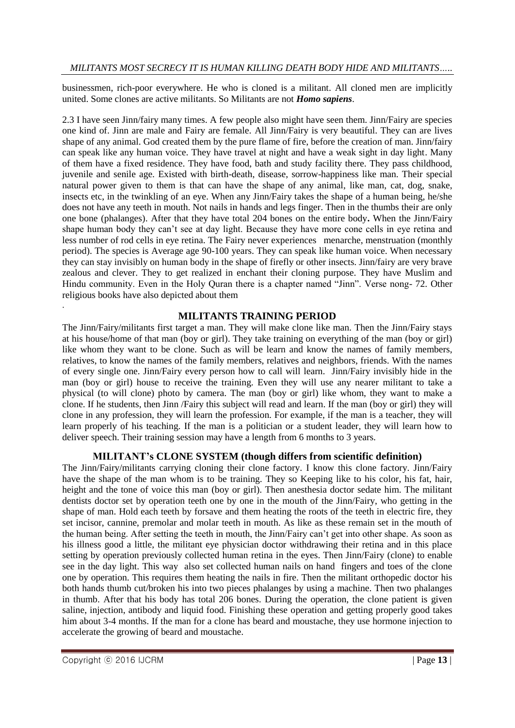businessmen, rich-poor everywhere. He who is cloned is a militant. All cloned men are implicitly united. Some clones are active militants. So Militants are not *Homo sapiens*.

2.3 I have seen Jinn/fairy many times. A few people also might have seen them. Jinn/Fairy are species one kind of. Jinn are male and Fairy are female. All Jinn/Fairy is very beautiful. They can are lives shape of any animal. God created them by the pure flame of fire, before the creation of man. Jinn/fairy can speak like any human voice. They have travel at night and have a weak sight in day light. Many of them have a fixed residence. They have food, bath and study facility there. They pass childhood, juvenile and senile age. Existed with birth-death, disease, sorrow-happiness like man. Their special natural power given to them is that can have the shape of any animal, like man, cat, dog, snake, insects etc, in the twinkling of an eye. When any Jinn/Fairy takes the shape of a human being, he/she does not have any teeth in mouth. Not nails in hands and legs finger. Then in the thumbs their are only one bone (phalanges). After that they have total 204 bones on the entire body**.** When the Jinn/Fairy shape human body they can't see at day light. Because they have more cone cells in eye retina and less number of rod cells in eye retina. The Fairy never experiences menarche, menstruation (monthly period). The species is Average age 90-100 years. They can speak like human voice. When necessary they can stay invisibly on human body in the shape of firefly or other insects. Jinn/fairy are very brave zealous and clever. They to get realized in enchant their cloning purpose. They have Muslim and Hindu community. Even in the Holy Quran there is a chapter named "Jinn". Verse nong- 72. Other religious books have also depicted about them

## **MILITANTS TRAINING PERIOD**

The Jinn/Fairy/militants first target a man. They will make clone like man. Then the Jinn/Fairy stays at his house/home of that man (boy or girl). They take training on everything of the man (boy or girl) like whom they want to be clone. Such as will be learn and know the names of family members, relatives, to know the names of the family members, relatives and neighbors, friends. With the names of every single one. Jinn/Fairy every person how to call will learn. Jinn/Fairy invisibly hide in the man (boy or girl) house to receive the training. Even they will use any nearer militant to take a physical (to will clone) photo by camera. The man (boy or girl) like whom, they want to make a clone. If he students, then Jinn /Fairy this subject will read and learn. If the man (boy or girl) they will clone in any profession, they will learn the profession. For example, if the man is a teacher, they will learn properly of his teaching. If the man is a politician or a student leader, they will learn how to deliver speech. Their training session may have a length from 6 months to 3 years.

#### **MILITANT's CLONE SYSTEM (though differs from scientific definition)**

The Jinn/Fairy/militants carrying cloning their clone factory. I know this clone factory. Jinn/Fairy have the shape of the man whom is to be training. They so Keeping like to his color, his fat, hair, height and the tone of voice this man (boy or girl). Then anesthesia doctor sedate him. The militant dentists doctor set by operation teeth one by one in the mouth of the Jinn/Fairy, who getting in the shape of man. Hold each teeth by forsave and them heating the roots of the teeth in electric fire, they set incisor, cannine, premolar and molar teeth in mouth. As like as these remain set in the mouth of the human being. After setting the teeth in mouth, the Jinn/Fairy can't get into other shape. As soon as his illness good a little, the militant eye physician doctor withdrawing their retina and in this place setting by operation previously collected human retina in the eyes. Then Jinn/Fairy (clone) to enable see in the day light. This way also set collected human nails on hand fingers and toes of the clone one by operation. This requires them heating the nails in fire. Then the militant orthopedic doctor his both hands thumb cut/broken his into two pieces phalanges by using a machine. Then two phalanges in thumb. After that his body has total 206 bones. During the operation, the clone patient is given saline, injection, antibody and liquid food. Finishing these operation and getting properly good takes him about 3-4 months. If the man for a clone has beard and moustache, they use hormone injection to accelerate the growing of beard and moustache.

.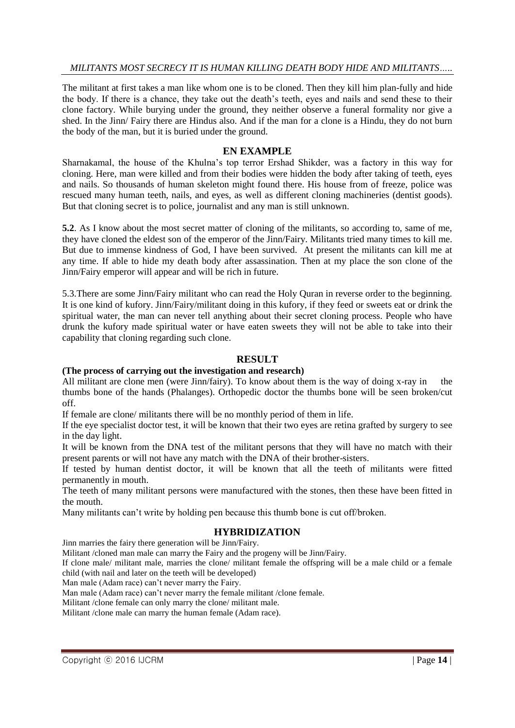#### *MILITANTS MOST SECRECY IT IS HUMAN KILLING DEATH BODY HIDE AND MILITANTS…..*

The militant at first takes a man like whom one is to be cloned. Then they kill him plan-fully and hide the body. If there is a chance, they take out the death's teeth, eyes and nails and send these to their clone factory. While burying under the ground, they neither observe a funeral formality nor give a shed. In the Jinn/ Fairy there are Hindus also. And if the man for a clone is a Hindu, they do not burn the body of the man, but it is buried under the ground.

#### **EN EXAMPLE**

Sharnakamal, the house of the Khulna's top terror Ershad Shikder, was a factory in this way for cloning. Here, man were killed and from their bodies were hidden the body after taking of teeth, eyes and nails. So thousands of human skeleton might found there. His house from of freeze, police was rescued many human teeth, nails, and eyes, as well as different cloning machineries (dentist goods). But that cloning secret is to police, journalist and any man is still unknown.

**5.2**. As I know about the most secret matter of cloning of the militants, so according to, same of me, they have cloned the eldest son of the emperor of the Jinn/Fairy. Militants tried many times to kill me. But due to immense kindness of God, I have been survived. At present the militants can kill me at any time. If able to hide my death body after assassination. Then at my place the son clone of the Jinn/Fairy emperor will appear and will be rich in future.

5.3.There are some Jinn/Fairy militant who can read the Holy Quran in reverse order to the beginning. It is one kind of kufory. Jinn/Fairy/militant doing in this kufory, if they feed or sweets eat or drink the spiritual water, the man can never tell anything about their secret cloning process. People who have drunk the kufory made spiritual water or have eaten sweets they will not be able to take into their capability that cloning regarding such clone.

#### **RESULT**

#### **(The process of carrying out the investigation and research)**

All militant are clone men (were Jinn/fairy). To know about them is the way of doing x-ray in the thumbs bone of the hands (Phalanges). Orthopedic doctor the thumbs bone will be seen broken/cut off.

If female are clone/ militants there will be no monthly period of them in life.

If the eye specialist doctor test, it will be known that their two eyes are retina grafted by surgery to see in the day light.

It will be known from the DNA test of the militant persons that they will have no match with their present parents or will not have any match with the DNA of their brother-sisters.

If tested by human dentist doctor, it will be known that all the teeth of militants were fitted permanently in mouth.

The teeth of many militant persons were manufactured with the stones, then these have been fitted in the mouth.

Many militants can't write by holding pen because this thumb bone is cut off/broken.

#### **HYBRIDIZATION**

Jinn marries the fairy there generation will be Jinn/Fairy.

Militant /cloned man male can marry the Fairy and the progeny will be Jinn/Fairy.

If clone male/ militant male, marries the clone/ militant female the offspring will be a male child or a female child (with nail and later on the teeth will be developed)

Man male (Adam race) can't never marry the Fairy.

Man male (Adam race) can't never marry the female militant /clone female.

Militant /clone female can only marry the clone/ militant male.

Militant /clone male can marry the human female (Adam race).